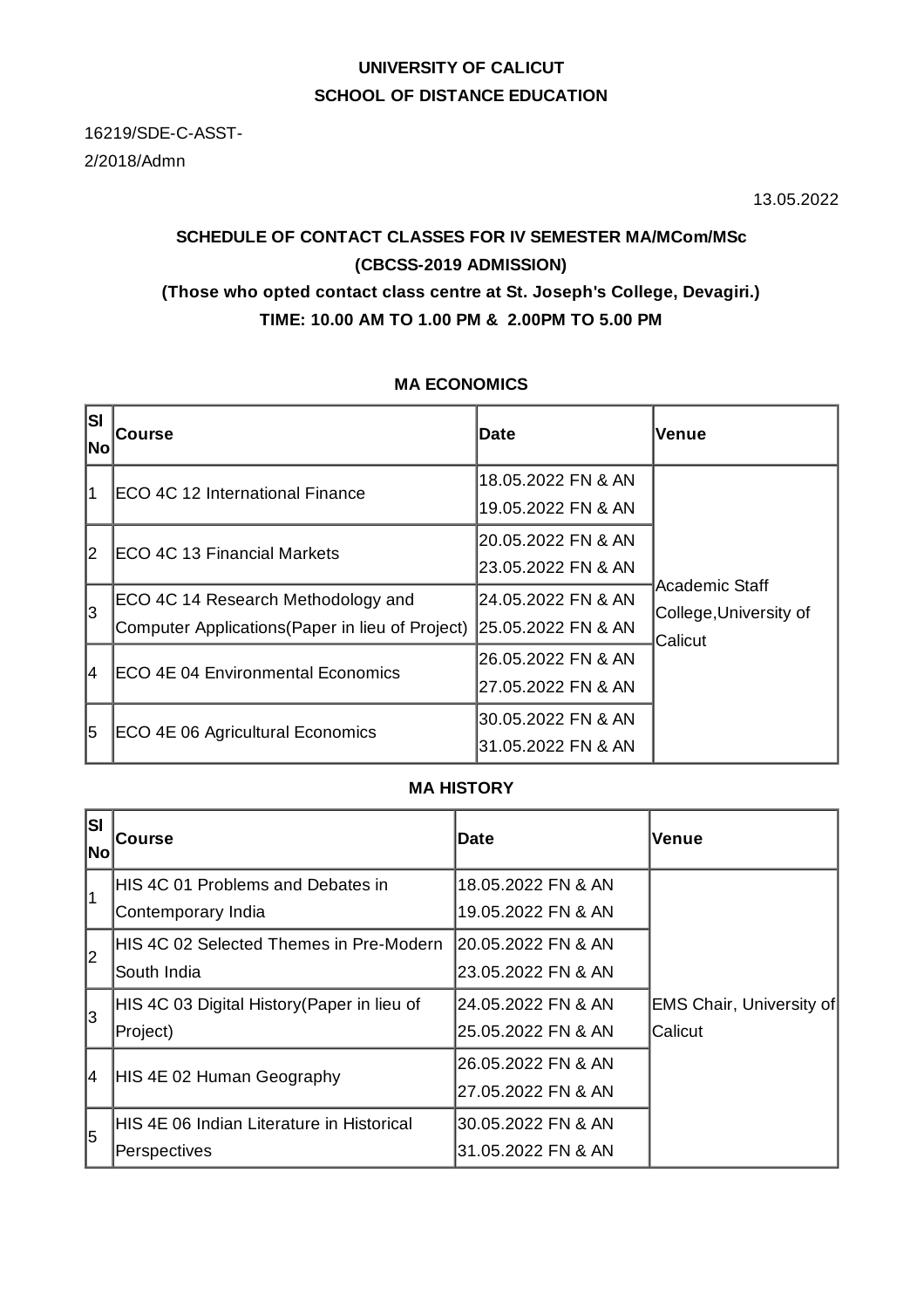# **UNIVERSITY OF CALICUT SCHOOL OF DISTANCE EDUCATION**

16219/SDE-C-ASST-2/2018/Admn

13.05.2022

# **SCHEDULE OF CONTACT CLASSES FOR IV SEMESTER MA/MCom/MSc (CBCSS-2019 ADMISSION) (Those who opted contact class centre at St. Joseph's College, Devagiri.) TIME: 10.00 AM TO 1.00 PM & 2.00PM TO 5.00 PM**

## **MA ECONOMICS**

| lsı<br> No | Course                                                                                 | Date                                     | Venue                                               |
|------------|----------------------------------------------------------------------------------------|------------------------------------------|-----------------------------------------------------|
| 1          | <b>IECO 4C 12 International Finance</b>                                                | 18.05.2022 FN & AN<br>19.05.2022 FN & AN | Academic Staff<br>College, University of<br>Calicut |
| 12         | ECO 4C 13 Financial Markets                                                            | 20.05.2022 FN & AN<br>23.05.2022 FN & AN |                                                     |
| 3          | ECO 4C 14 Research Methodology and<br>Computer Applications (Paper in lieu of Project) | 24.05.2022 FN & AN<br>25.05.2022 FN & AN |                                                     |
| 14         | ECO 4E 04 Environmental Economics                                                      | 26.05.2022 FN & AN<br>27.05.2022 FN & AN |                                                     |
| 15         | ECO 4E 06 Agricultural Economics                                                       | 30.05.2022 FN & AN<br>31.05.2022 FN & AN |                                                     |

## **MA HISTORY**

| lsı<br><b>No</b> | <b>Course</b>                               | <b>Date</b>         | Venue                           |
|------------------|---------------------------------------------|---------------------|---------------------------------|
| l1               | HIS 4C 01 Problems and Debates in           | 18.05.2022 FN & AN  |                                 |
|                  | Contemporary India                          | 19.05.2022 FN & AN  |                                 |
| l2               | HIS 4C 02 Selected Themes in Pre-Modern     | 120.05.2022 FN & AN |                                 |
|                  | South India                                 | 23.05.2022 FN & AN  |                                 |
| l3               | HIS 4C 03 Digital History (Paper in lieu of | 24.05.2022 FN & AN  | <b>EMS Chair, University of</b> |
|                  | Project)                                    | 25.05.2022 FN & AN  | Calicut                         |
| 4                | HIS 4E 02 Human Geography                   | 26.05.2022 FN & AN  |                                 |
|                  |                                             | 27.05.2022 FN & AN  |                                 |
| l5               | HIS 4E 06 Indian Literature in Historical   | 30.05.2022 FN & AN  |                                 |
|                  | Perspectives                                | 31.05.2022 FN & AN  |                                 |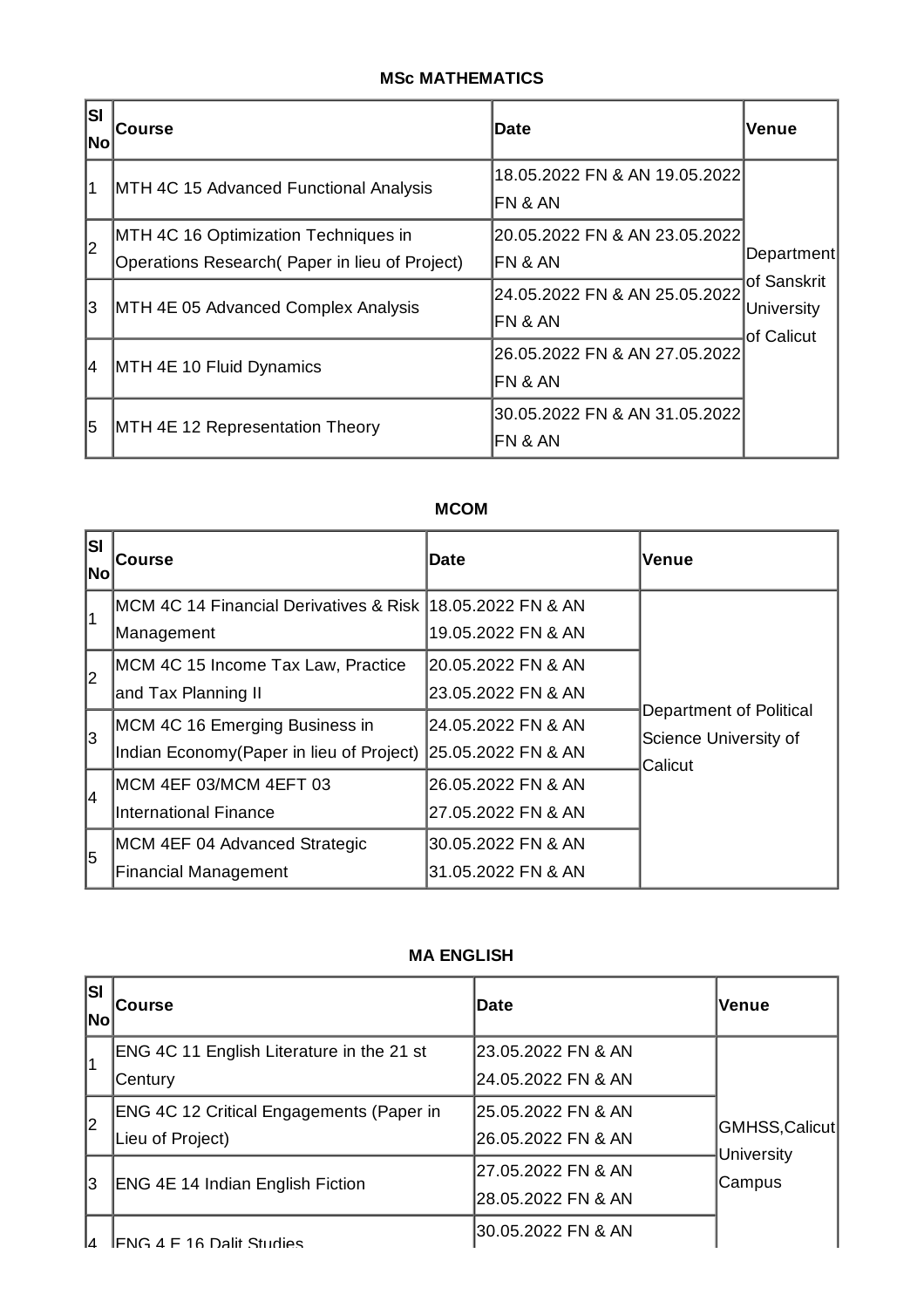## **MSc MATHEMATICS**

| <b>SI</b><br>No | <b>Course</b>                                                                          | Date                                     | Venue                                   |  |
|-----------------|----------------------------------------------------------------------------------------|------------------------------------------|-----------------------------------------|--|
| $\overline{1}$  | MTH 4C 15 Advanced Functional Analysis                                                 | 18.05.2022 FN & AN 19.05.2022<br>FN & AN |                                         |  |
| 2               | MTH 4C 16 Optimization Techniques in<br>Operations Research (Paper in lieu of Project) | 20.05.2022 FN & AN 23.05.2022<br>FN & AN | Department                              |  |
| 3               | MTH 4E 05 Advanced Complex Analysis                                                    | 24.05.2022 FN & AN 25.05.2022<br>FN & AN | of Sanskrit<br>University<br>of Calicut |  |
| 4               | MTH 4E 10 Fluid Dynamics                                                               | 26.05.2022 FN & AN 27.05.2022<br>FN & AN |                                         |  |
| 5               | MTH 4E 12 Representation Theory                                                        | 30.05.2022 FN & AN 31.05.2022<br>FN & AN |                                         |  |

# **MCOM**

| <b>SI</b><br> No | <b>Course</b>                                                                                  | Date                                     | Venue                                                       |
|------------------|------------------------------------------------------------------------------------------------|------------------------------------------|-------------------------------------------------------------|
| $\overline{1}$   | MCM 4C 14 Financial Derivatives & Risk  18.05.2022 FN & AN<br>Management                       | 19.05.2022 FN & AN                       |                                                             |
| 2                | MCM 4C 15 Income Tax Law, Practice<br>and Tax Planning II                                      | 20.05.2022 FN & AN<br>23.05.2022 FN & AN | Department of Political<br>Science University of<br>Calicut |
| 3                | MCM 4C 16 Emerging Business in<br>Indian Economy (Paper in lieu of Project) 25.05.2022 FN & AN | 24.05.2022 FN & AN                       |                                                             |
| 4                | MCM 4EF 03/MCM 4EFT 03<br><b>International Finance</b>                                         | 26.05.2022 FN & AN<br>27.05.2022 FN & AN |                                                             |
| 5                | MCM 4EF 04 Advanced Strategic<br><b>Financial Management</b>                                   | 30.05.2022 FN & AN<br>31.05.2022 FN & AN |                                                             |

#### **MA ENGLISH**

| lsı<br> No | <b>Course</b>                                                | <b>Date</b>                                | <b>Venue</b>                          |
|------------|--------------------------------------------------------------|--------------------------------------------|---------------------------------------|
| 11         | ENG 4C 11 English Literature in the 21 st<br> Century        | l23.05.2022 FN & AN<br>l24.05.2022 FN & AN | GMHSS,Calicut<br>University<br>Campus |
| 12         | ENG 4C 12 Critical Engagements (Paper in<br>Lieu of Project) | l25.05.2022 FN & AN<br>26.05.2022 FN & AN  |                                       |
| 13         | ENG 4E 14 Indian English Fiction                             | 27.05.2022 FN & AN<br>28.05.2022 FN & AN   |                                       |
| Iд         | IFNG 4 F 16 Dality Studies                                   | 30.05.2022 FN & AN                         |                                       |